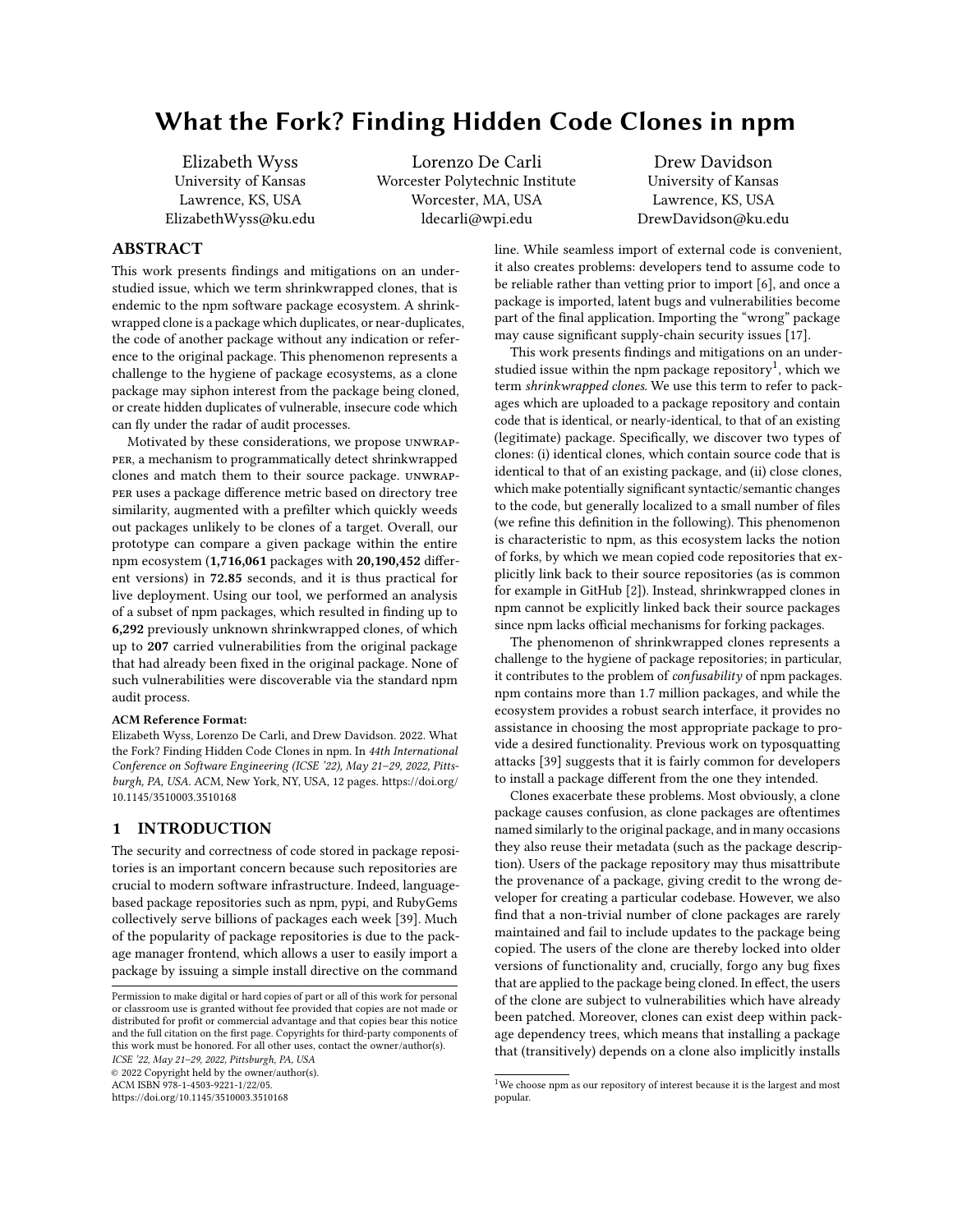# What the Fork? Finding Hidden Code Clones in npm

Elizabeth Wyss University of Kansas Lawrence, KS, USA ElizabethWyss@ku.edu

Lorenzo De Carli Worcester Polytechnic Institute Worcester, MA, USA ldecarli@wpi.edu

Drew Davidson University of Kansas Lawrence, KS, USA DrewDavidson@ku.edu

# ABSTRACT

This work presents findings and mitigations on an understudied issue, which we term shrinkwrapped clones, that is endemic to the npm software package ecosystem. A shrinkwrapped clone is a package which duplicates, or near-duplicates, the code of another package without any indication or reference to the original package. This phenomenon represents a challenge to the hygiene of package ecosystems, as a clone package may siphon interest from the package being cloned, or create hidden duplicates of vulnerable, insecure code which can fly under the radar of audit processes.

Motivated by these considerations, we propose unwrapper, a mechanism to programmatically detect shrinkwrapped clones and match them to their source package. unwrapper uses a package difference metric based on directory tree similarity, augmented with a prefilter which quickly weeds out packages unlikely to be clones of a target. Overall, our prototype can compare a given package within the entire npm ecosystem (1,716,061 packages with 20,190,452 different versions) in 72.85 seconds, and it is thus practical for live deployment. Using our tool, we performed an analysis of a subset of npm packages, which resulted in finding up to 6,292 previously unknown shrinkwrapped clones, of which up to 207 carried vulnerabilities from the original package that had already been fixed in the original package. None of such vulnerabilities were discoverable via the standard npm audit process.

#### ACM Reference Format:

Elizabeth Wyss, Lorenzo De Carli, and Drew Davidson. 2022. What the Fork? Finding Hidden Code Clones in npm. In 44th International Conference on Software Engineering (ICSE '22), May 21–29, 2022, Pittsburgh, PA, USA. ACM, New York, NY, USA, [12](#page-11-0) pages. [https://doi.org/](https://doi.org/10.1145/3510003.3510168) [10.1145/3510003.3510168](https://doi.org/10.1145/3510003.3510168)

# <span id="page-0-1"></span>1 INTRODUCTION

The security and correctness of code stored in package repositories is an important concern because such repositories are crucial to modern software infrastructure. Indeed, languagebased package repositories such as npm, pypi, and RubyGems collectively serve billions of packages each week [\[39\]](#page-11-1). Much of the popularity of package repositories is due to the package manager frontend, which allows a user to easily import a package by issuing a simple install directive on the command

ICSE '22, May 21–29, 2022, Pittsburgh, PA, USA

© 2022 Copyright held by the owner/author(s). ACM ISBN 978-1-4503-9221-1/22/05.

<https://doi.org/10.1145/3510003.3510168>

line. While seamless import of external code is convenient, it also creates problems: developers tend to assume code to be reliable rather than vetting prior to import [\[6\]](#page-10-0), and once a package is imported, latent bugs and vulnerabilities become part of the final application. Importing the "wrong" package may cause significant supply-chain security issues [\[17\]](#page-11-2).

This work presents findings and mitigations on an under-studied issue within the npm package repository<sup>[1](#page-0-0)</sup>, which we term shrinkwrapped clones. We use this term to refer to packages which are uploaded to a package repository and contain code that is identical, or nearly-identical, to that of an existing (legitimate) package. Specifically, we discover two types of clones: (i) identical clones, which contain source code that is identical to that of an existing package, and (ii) close clones, which make potentially significant syntactic/semantic changes to the code, but generally localized to a small number of files (we refine this definition in the following). This phenomenon is characteristic to npm, as this ecosystem lacks the notion of forks, by which we mean copied code repositories that explicitly link back to their source repositories (as is common for example in GitHub [\[2\]](#page-10-1)). Instead, shrinkwrapped clones in npm cannot be explicitly linked back their source packages since npm lacks official mechanisms for forking packages.

The phenomenon of shrinkwrapped clones represents a challenge to the hygiene of package repositories; in particular, it contributes to the problem of confusability of npm packages. npm contains more than 1.7 million packages, and while the ecosystem provides a robust search interface, it provides no assistance in choosing the most appropriate package to provide a desired functionality. Previous work on typosquatting attacks [\[39\]](#page-11-1) suggests that it is fairly common for developers to install a package different from the one they intended.

Clones exacerbate these problems. Most obviously, a clone package causes confusion, as clone packages are oftentimes named similarly to the original package, and in many occasions they also reuse their metadata (such as the package description). Users of the package repository may thus misattribute the provenance of a package, giving credit to the wrong developer for creating a particular codebase. However, we also find that a non-trivial number of clone packages are rarely maintained and fail to include updates to the package being copied. The users of the clone are thereby locked into older versions of functionality and, crucially, forgo any bug fixes that are applied to the package being cloned. In effect, the users of the clone are subject to vulnerabilities which have already been patched. Moreover, clones can exist deep within package dependency trees, which means that installing a package that (transitively) depends on a clone also implicitly installs

Permission to make digital or hard copies of part or all of this work for personal or classroom use is granted without fee provided that copies are not made or distributed for profit or commercial advantage and that copies bear this notice and the full citation on the first page. Copyrights for third-party components of this work must be honored. For all other uses, contact the owner/author(s).

<span id="page-0-0"></span><sup>&</sup>lt;sup>1</sup>We choose npm as our repository of interest because it is the largest and most popular.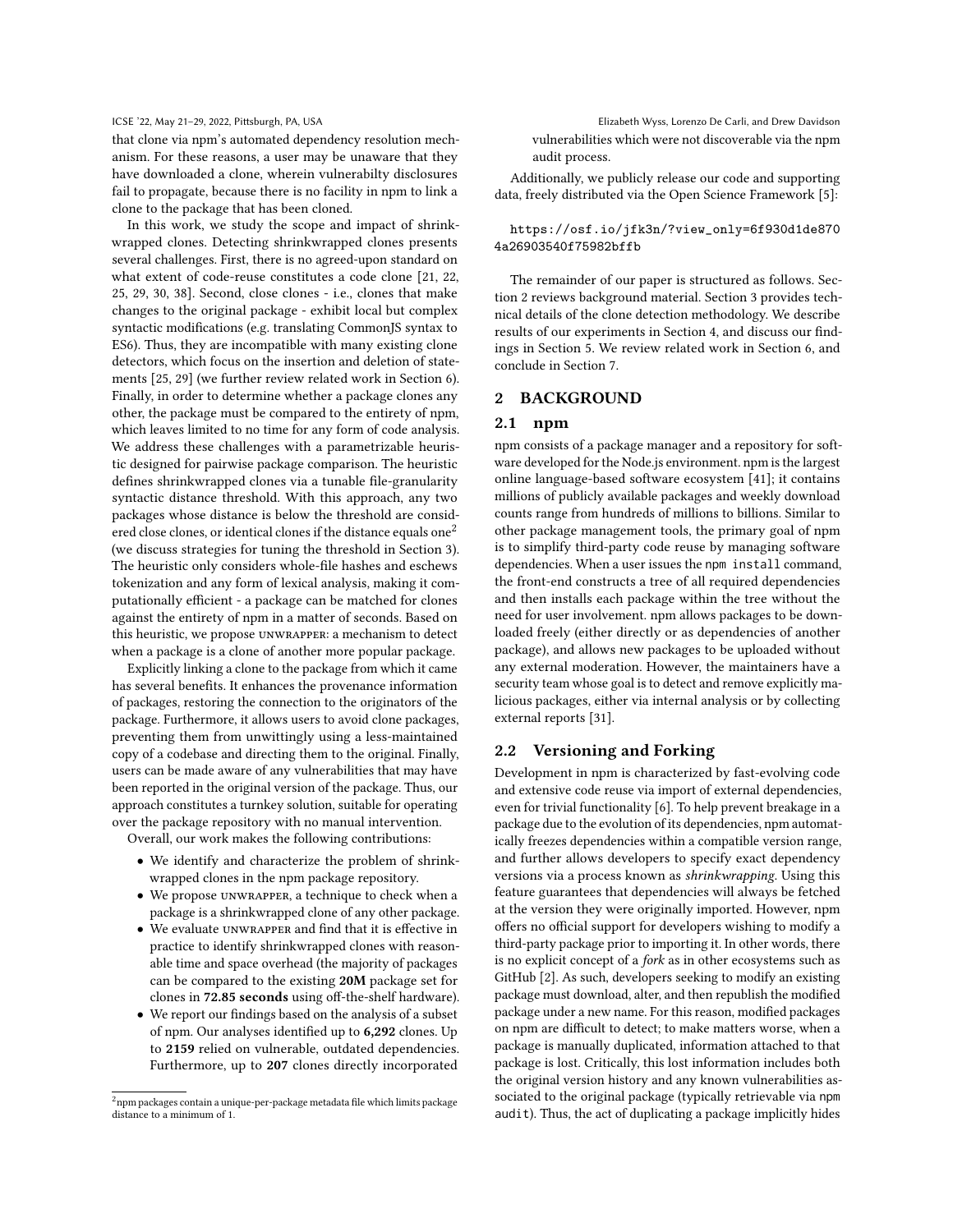that clone via npm's automated dependency resolution mechanism. For these reasons, a user may be unaware that they have downloaded a clone, wherein vulnerabilty disclosures fail to propagate, because there is no facility in npm to link a clone to the package that has been cloned.

In this work, we study the scope and impact of shrinkwrapped clones. Detecting shrinkwrapped clones presents several challenges. First, there is no agreed-upon standard on what extent of code-reuse constitutes a code clone [\[21,](#page-11-3) [22,](#page-11-4) [25,](#page-11-5) [29,](#page-11-6) [30,](#page-11-7) [38\]](#page-11-8). Second, close clones - i.e., clones that make changes to the original package - exhibit local but complex syntactic modifications (e.g. translating CommonJS syntax to ES6). Thus, they are incompatible with many existing clone detectors, which focus on the insertion and deletion of statements [\[25,](#page-11-5) [29\]](#page-11-6) (we further review related work in Section 6). Finally, in order to determine whether a package clones any other, the package must be compared to the entirety of npm, which leaves limited to no time for any form of code analysis. We address these challenges with a parametrizable heuristic designed for pairwise package comparison. The heuristic defines shrinkwrapped clones via a tunable file-granularity syntactic distance threshold. With this approach, any two packages whose distance is below the threshold are consid-ered close clones, or identical clones if the distance equals one<sup>[2](#page-1-0)</sup> (we discuss strategies for tuning the threshold in Section 3). The heuristic only considers whole-file hashes and eschews tokenization and any form of lexical analysis, making it computationally efficient - a package can be matched for clones against the entirety of npm in a matter of seconds. Based on this heuristic, we propose unwrapper: a mechanism to detect when a package is a clone of another more popular package.

Explicitly linking a clone to the package from which it came has several benefits. It enhances the provenance information of packages, restoring the connection to the originators of the package. Furthermore, it allows users to avoid clone packages, preventing them from unwittingly using a less-maintained copy of a codebase and directing them to the original. Finally, users can be made aware of any vulnerabilities that may have been reported in the original version of the package. Thus, our approach constitutes a turnkey solution, suitable for operating over the package repository with no manual intervention.

Overall, our work makes the following contributions:

- We identify and characterize the problem of shrinkwrapped clones in the npm package repository.
- We propose unwrapper, a technique to check when a package is a shrinkwrapped clone of any other package.
- We evaluate unwrapper and find that it is effective in practice to identify shrinkwrapped clones with reasonable time and space overhead (the majority of packages can be compared to the existing 20M package set for clones in 72.85 seconds using off-the-shelf hardware).
- We report our findings based on the analysis of a subset of npm. Our analyses identified up to 6,292 clones. Up to 2159 relied on vulnerable, outdated dependencies. Furthermore, up to 207 clones directly incorporated

ICSE '22, May 21-29, 2022, Pittsburgh, PA, USA Elizabeth Wyss, Lorenzo De Carli, and Drew Davidson vulnerabilities which were not discoverable via the npm audit process.

> Additionally, we publicly release our code and supporting data, freely distributed via the Open Science Framework [\[5\]](#page-10-2):

# [https://osf.io/jfk3n/?view\\_only=6f930d1de870](https://osf.io/jfk3n/?view_only=6f930d1de8704a26903540f75982bffb) [4a26903540f75982bffb](https://osf.io/jfk3n/?view_only=6f930d1de8704a26903540f75982bffb)

The remainder of our paper is structured as follows. Section [2](#page-1-1) reviews background material. Section [3](#page-3-0) provides technical details of the clone detection methodology. We describe results of our experiments in Section [4,](#page-5-0) and discuss our findings in Section [5.](#page-9-0) We review related work in Section [6,](#page-9-1) and conclude in Section [7.](#page-10-3)

### <span id="page-1-1"></span>2 BACKGROUND

# 2.1 npm

npm consists of a package manager and a repository for software developed for the Node.js environment. npm is the largest online language-based software ecosystem [\[41\]](#page-11-9); it contains millions of publicly available packages and weekly download counts range from hundreds of millions to billions. Similar to other package management tools, the primary goal of npm is to simplify third-party code reuse by managing software dependencies. When a user issues the npm install command, the front-end constructs a tree of all required dependencies and then installs each package within the tree without the need for user involvement. npm allows packages to be downloaded freely (either directly or as dependencies of another package), and allows new packages to be uploaded without any external moderation. However, the maintainers have a security team whose goal is to detect and remove explicitly malicious packages, either via internal analysis or by collecting external reports [\[31\]](#page-11-10).

# 2.2 Versioning and Forking

Development in npm is characterized by fast-evolving code and extensive code reuse via import of external dependencies, even for trivial functionality [\[6\]](#page-10-0). To help prevent breakage in a package due to the evolution of its dependencies, npm automatically freezes dependencies within a compatible version range, and further allows developers to specify exact dependency versions via a process known as shrinkwrapping. Using this feature guarantees that dependencies will always be fetched at the version they were originally imported. However, npm offers no official support for developers wishing to modify a third-party package prior to importing it. In other words, there is no explicit concept of a fork as in other ecosystems such as GitHub [\[2\]](#page-10-1). As such, developers seeking to modify an existing package must download, alter, and then republish the modified package under a new name. For this reason, modified packages on npm are difficult to detect; to make matters worse, when a package is manually duplicated, information attached to that package is lost. Critically, this lost information includes both the original version history and any known vulnerabilities associated to the original package (typically retrievable via npm audit). Thus, the act of duplicating a package implicitly hides

<span id="page-1-0"></span> $^{2}$ npm packages contain a unique-per-package metadata file which limits package distance to a minimum of 1.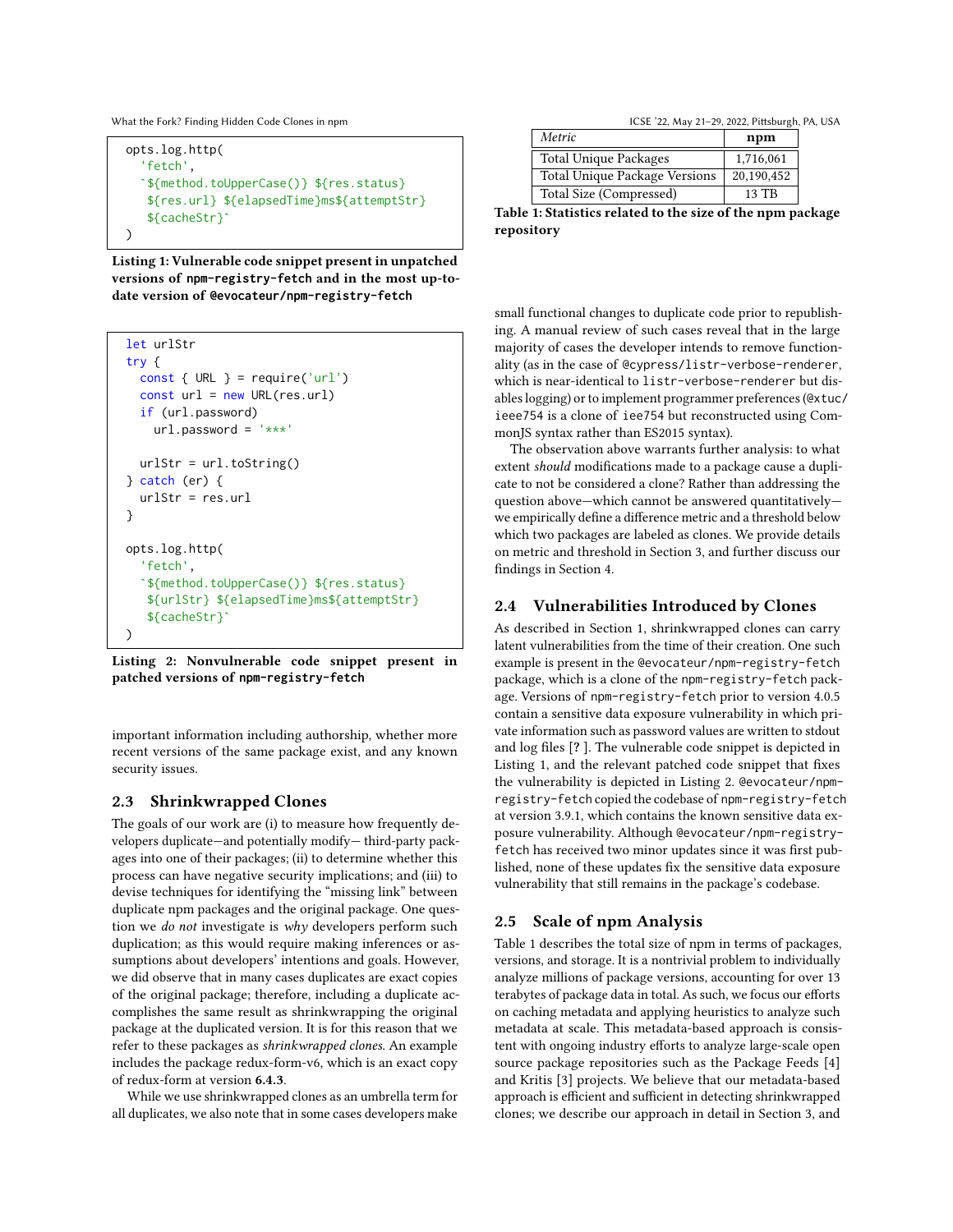What the Fork? Finding Hidden Code Clones in npm **ICSE '22, May 21-29, 2022, Pittsburgh, PA, USA** 

```
opts.log.http(
  'fetch',
  `${method.toUpperCase()} ${res.status}
   ${res.url} ${elapsedTime}ms${attemptStr}
   ${cacheStr}`
)
```
Listing 1: Vulnerable code snippet present in unpatched versions of **npm-registry-fetch** and in the most up-todate version of **@evocateur/npm-registry-fetch**

```
let urlStr
try {
  const \{ \text{ URL } \} = \text{require('url')}const url = new URL(res.url)
  if (url.password)
    url.password = '***'urlStr = url.toString()
} catch (er) {
  urlStr = res.url
}
opts.log.http(
  'fetch',
  `${method.toUpperCase()} ${res.status}
   ${urlStr} ${elapsedTime}ms${attemptStr}
   ${cacheStr}`
)
```
Listing 2: Nonvulnerable code snippet present in patched versions of **npm-registry-fetch**

important information including authorship, whether more recent versions of the same package exist, and any known security issues.

# 2.3 Shrinkwrapped Clones

The goals of our work are (i) to measure how frequently developers duplicate—and potentially modify— third-party packages into one of their packages; (ii) to determine whether this process can have negative security implications; and (iii) to devise techniques for identifying the "missing link" between duplicate npm packages and the original package. One question we do not investigate is why developers perform such duplication; as this would require making inferences or assumptions about developers' intentions and goals. However, we did observe that in many cases duplicates are exact copies of the original package; therefore, including a duplicate accomplishes the same result as shrinkwrapping the original package at the duplicated version. It is for this reason that we refer to these packages as shrinkwrapped clones. An example includes the package redux-form-v6, which is an exact copy of redux-form at version 6.4.3.

While we use shrinkwrapped clones as an umbrella term for all duplicates, we also note that in some cases developers make

<span id="page-2-2"></span>

| Metric                        | npm        |  |
|-------------------------------|------------|--|
| <b>Total Unique Packages</b>  | 1,716,061  |  |
| Total Unique Package Versions | 20,190,452 |  |
| Total Size (Compressed)       | 13 TB      |  |

Table 1: Statistics related to the size of the npm package repository

small functional changes to duplicate code prior to republishing. A manual review of such cases reveal that in the large majority of cases the developer intends to remove functionality (as in the case of @cypress/listr-verbose-renderer, which is near-identical to listr-verbose-renderer but disables logging) or to implement programmer preferences (@xtuc/ ieee754 is a clone of iee754 but reconstructed using CommonJS syntax rather than ES2015 syntax).

The observation above warrants further analysis: to what extent should modifications made to a package cause a duplicate to not be considered a clone? Rather than addressing the question above—which cannot be answered quantitatively we empirically define a difference metric and a threshold below which two packages are labeled as clones. We provide details on metric and threshold in Section [3,](#page-3-0) and further discuss our findings in Section [4.](#page-5-0)

# 2.4 Vulnerabilities Introduced by Clones

As described in Section [1,](#page-0-1) shrinkwrapped clones can carry latent vulnerabilities from the time of their creation. One such example is present in the @evocateur/npm-registry-fetch package, which is a clone of the npm-registry-fetch package. Versions of npm-registry-fetch prior to version 4.0.5 contain a sensitive data exposure vulnerability in which private information such as password values are written to stdout and log files [? ]. The vulnerable code snippet is depicted in Listing [1,](#page-2-0) and the relevant patched code snippet that fixes the vulnerability is depicted in Listing [2.](#page-2-1) @evocateur/npmregistry-fetch copied the codebase of npm-registry-fetch at version 3.9.1, which contains the known sensitive data exposure vulnerability. Although @evocateur/npm-registryfetch has received two minor updates since it was first published, none of these updates fix the sensitive data exposure vulnerability that still remains in the package's codebase.

# 2.5 Scale of npm Analysis

Table [1](#page-2-2) describes the total size of npm in terms of packages, versions, and storage. It is a nontrivial problem to individually analyze millions of package versions, accounting for over 13 terabytes of package data in total. As such, we focus our efforts on caching metadata and applying heuristics to analyze such metadata at scale. This metadata-based approach is consistent with ongoing industry efforts to analyze large-scale open source package repositories such as the Package Feeds [\[4\]](#page-10-4) and Kritis [\[3\]](#page-10-5) projects. We believe that our metadata-based approach is efficient and sufficient in detecting shrinkwrapped clones; we describe our approach in detail in Section [3,](#page-3-0) and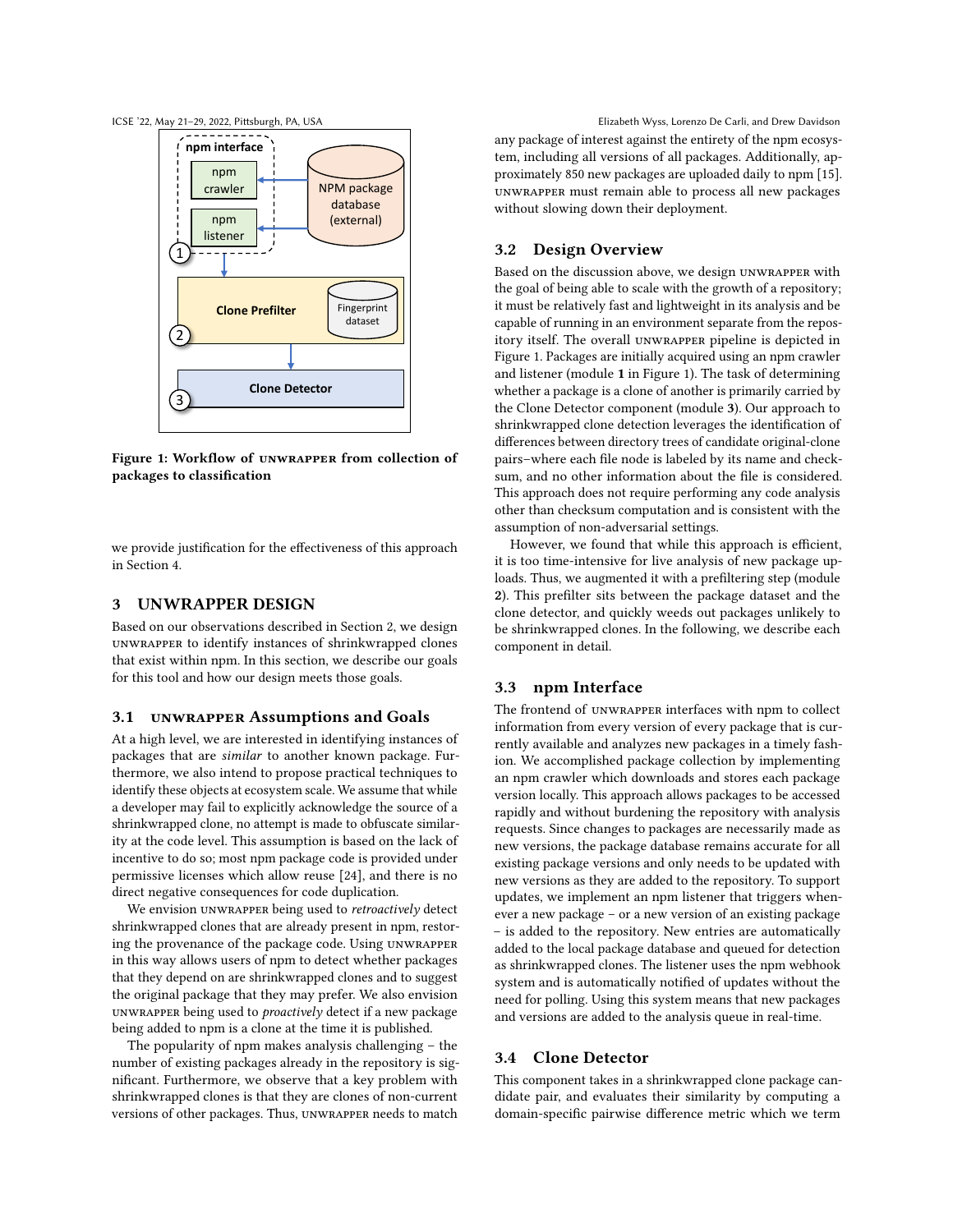<span id="page-3-1"></span>



Figure 1: Workflow of unwrapper from collection of packages to classification

we provide justification for the effectiveness of this approach in Section [4.](#page-5-0)

#### <span id="page-3-0"></span>3 UNWRAPPER DESIGN

Based on our observations described in Section [2,](#page-1-1) we design unwrapper to identify instances of shrinkwrapped clones that exist within npm. In this section, we describe our goals for this tool and how our design meets those goals.

### 3.1 unwrapper Assumptions and Goals

At a high level, we are interested in identifying instances of packages that are similar to another known package. Furthermore, we also intend to propose practical techniques to identify these objects at ecosystem scale. We assume that while a developer may fail to explicitly acknowledge the source of a shrinkwrapped clone, no attempt is made to obfuscate similarity at the code level. This assumption is based on the lack of incentive to do so; most npm package code is provided under permissive licenses which allow reuse [\[24\]](#page-11-11), and there is no direct negative consequences for code duplication.

We envision UNWRAPPER being used to retroactively detect shrinkwrapped clones that are already present in npm, restoring the provenance of the package code. Using unwrapper in this way allows users of npm to detect whether packages that they depend on are shrinkwrapped clones and to suggest the original package that they may prefer. We also envision unwrapper being used to proactively detect if a new package being added to npm is a clone at the time it is published.

The popularity of npm makes analysis challenging – the number of existing packages already in the repository is significant. Furthermore, we observe that a key problem with shrinkwrapped clones is that they are clones of non-current versions of other packages. Thus, unwrapper needs to match

ICSE '22, May 21-29, 2022, Pittsburgh, PA, USA Elizabeth Wyss, Lorenzo De Carli, and Drew Davidson any package of interest against the entirety of the npm ecosystem, including all versions of all packages. Additionally, approximately 850 new packages are uploaded daily to npm [\[15\]](#page-10-6). unwrapper must remain able to process all new packages without slowing down their deployment.

### 3.2 Design Overview

Based on the discussion above, we design unwrapper with the goal of being able to scale with the growth of a repository; it must be relatively fast and lightweight in its analysis and be capable of running in an environment separate from the repository itself. The overall unwrapper pipeline is depicted in Figure [1.](#page-3-1) Packages are initially acquired using an npm crawler and listener (module 1 in Figure [1\)](#page-3-1). The task of determining whether a package is a clone of another is primarily carried by the Clone Detector component (module 3). Our approach to shrinkwrapped clone detection leverages the identification of differences between directory trees of candidate original-clone pairs–where each file node is labeled by its name and checksum, and no other information about the file is considered. This approach does not require performing any code analysis other than checksum computation and is consistent with the assumption of non-adversarial settings.

However, we found that while this approach is efficient, it is too time-intensive for live analysis of new package uploads. Thus, we augmented it with a prefiltering step (module 2). This prefilter sits between the package dataset and the clone detector, and quickly weeds out packages unlikely to be shrinkwrapped clones. In the following, we describe each component in detail.

#### 3.3 npm Interface

The frontend of unwrapper interfaces with npm to collect information from every version of every package that is currently available and analyzes new packages in a timely fashion. We accomplished package collection by implementing an npm crawler which downloads and stores each package version locally. This approach allows packages to be accessed rapidly and without burdening the repository with analysis requests. Since changes to packages are necessarily made as new versions, the package database remains accurate for all existing package versions and only needs to be updated with new versions as they are added to the repository. To support updates, we implement an npm listener that triggers whenever a new package – or a new version of an existing package – is added to the repository. New entries are automatically added to the local package database and queued for detection as shrinkwrapped clones. The listener uses the npm webhook system and is automatically notified of updates without the need for polling. Using this system means that new packages and versions are added to the analysis queue in real-time.

# 3.4 Clone Detector

This component takes in a shrinkwrapped clone package candidate pair, and evaluates their similarity by computing a domain-specific pairwise difference metric which we term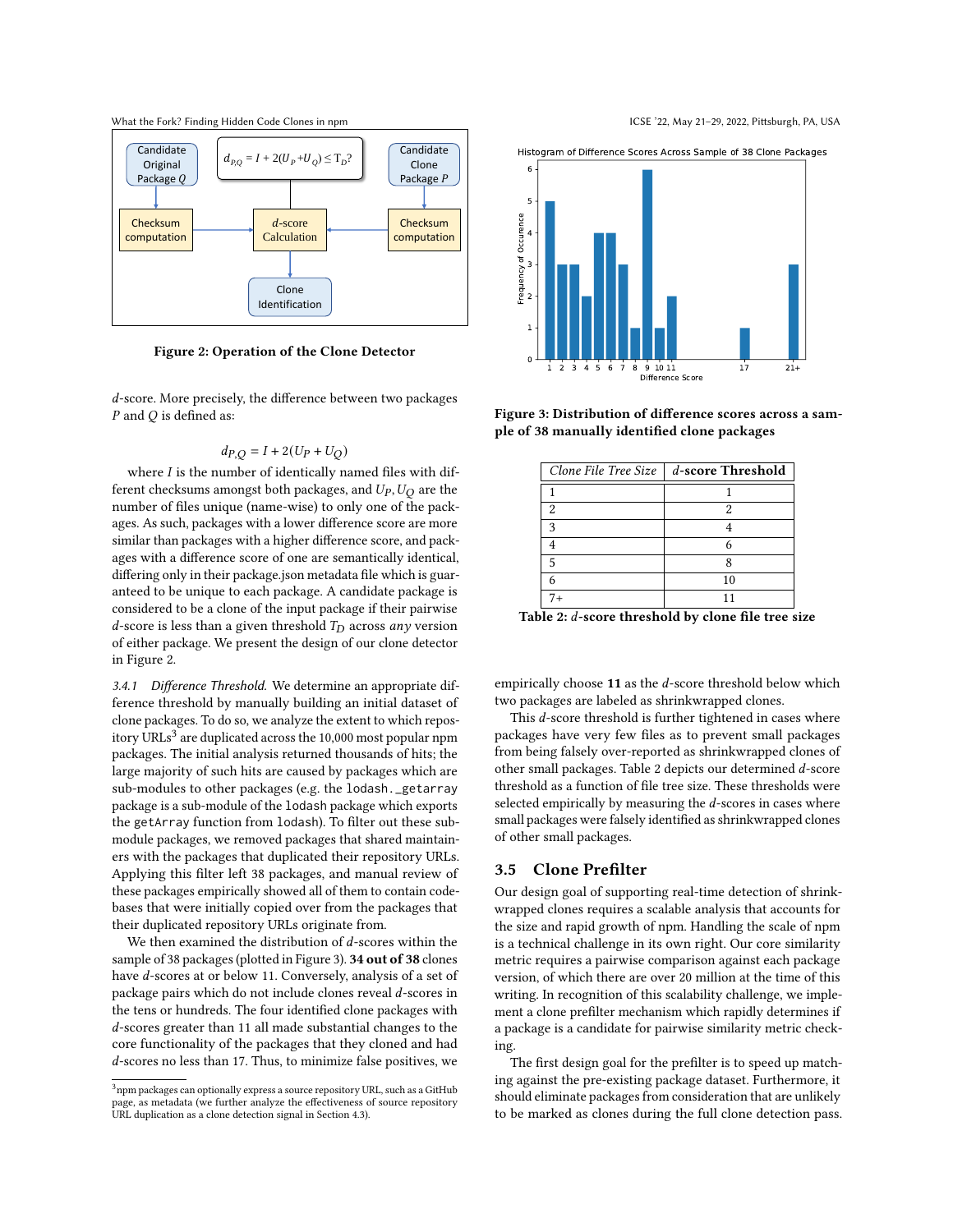<span id="page-4-0"></span>What the Fork? Finding Hidden Code Clones in npm **ICSE '22, May 21-29, 2022, Pittsburgh, PA, USA** 



Figure 2: Operation of the Clone Detector

d-score. More precisely, the difference between two packages  $P$  and  $Q$  is defined as:

$$
d_{P,Q} = I + 2(U_P + U_Q)
$$

where  $I$  is the number of identically named files with different checksums amongst both packages, and  $U_P$ ,  $U_O$  are the number of files unique (name-wise) to only one of the packages. As such, packages with a lower difference score are more similar than packages with a higher difference score, and packages with a difference score of one are semantically identical, differing only in their package.json metadata file which is guaranteed to be unique to each package. A candidate package is considered to be a clone of the input package if their pairwise d-score is less than a given threshold  $T_D$  across any version of either package. We present the design of our clone detector in Figure [2.](#page-4-0)

3.4.1 Difference Threshold. We determine an appropriate difference threshold by manually building an initial dataset of clone packages. To do so, we analyze the extent to which repository URLs $^3$  $^3$  are duplicated across the 10,000 most popular npm packages. The initial analysis returned thousands of hits; the large majority of such hits are caused by packages which are sub-modules to other packages (e.g. the lodash.\_getarray package is a sub-module of the lodash package which exports the getArray function from lodash). To filter out these submodule packages, we removed packages that shared maintainers with the packages that duplicated their repository URLs. Applying this filter left 38 packages, and manual review of these packages empirically showed all of them to contain codebases that were initially copied over from the packages that their duplicated repository URLs originate from.

We then examined the distribution of  $d$ -scores within the sample of 38 packages (plotted in Figure [3\)](#page-4-2). 34 out of 38 clones have d-scores at or below 11. Conversely, analysis of a set of package pairs which do not include clones reveal  $d$ -scores in the tens or hundreds. The four identified clone packages with -scores greater than 11 all made substantial changes to the core functionality of the packages that they cloned and had d-scores no less than 17. Thus, to minimize false positives, we



<span id="page-4-2"></span>

<span id="page-4-3"></span>Figure 3: Distribution of difference scores across a sample of 38 manually identified clone packages

|      | Clone File Tree Size $\parallel$ d-score Threshold |
|------|----------------------------------------------------|
|      |                                                    |
| 2    |                                                    |
| 3    |                                                    |
|      |                                                    |
| -5   |                                                    |
|      | 10                                                 |
| $7+$ |                                                    |

Table 2:  $d$ -score threshold by clone file tree size

empirically choose  $11$  as the d-score threshold below which two packages are labeled as shrinkwrapped clones.

This  $d$ -score threshold is further tightened in cases where packages have very few files as to prevent small packages from being falsely over-reported as shrinkwrapped clones of other small packages. Table [2](#page-4-3) depicts our determined  $d$ -score threshold as a function of file tree size. These thresholds were selected empirically by measuring the  $d$ -scores in cases where small packages were falsely identified as shrinkwrapped clones of other small packages.

#### 3.5 Clone Prefilter

Our design goal of supporting real-time detection of shrinkwrapped clones requires a scalable analysis that accounts for the size and rapid growth of npm. Handling the scale of npm is a technical challenge in its own right. Our core similarity metric requires a pairwise comparison against each package version, of which there are over 20 million at the time of this writing. In recognition of this scalability challenge, we implement a clone prefilter mechanism which rapidly determines if a package is a candidate for pairwise similarity metric checking.

The first design goal for the prefilter is to speed up matching against the pre-existing package dataset. Furthermore, it should eliminate packages from consideration that are unlikely to be marked as clones during the full clone detection pass.

<span id="page-4-1"></span> $3$ npm packages can optionally express a source repository URL, such as a GitHub page, as metadata (we further analyze the effectiveness of source repository URL duplication as a clone detection signal in Section 4.3).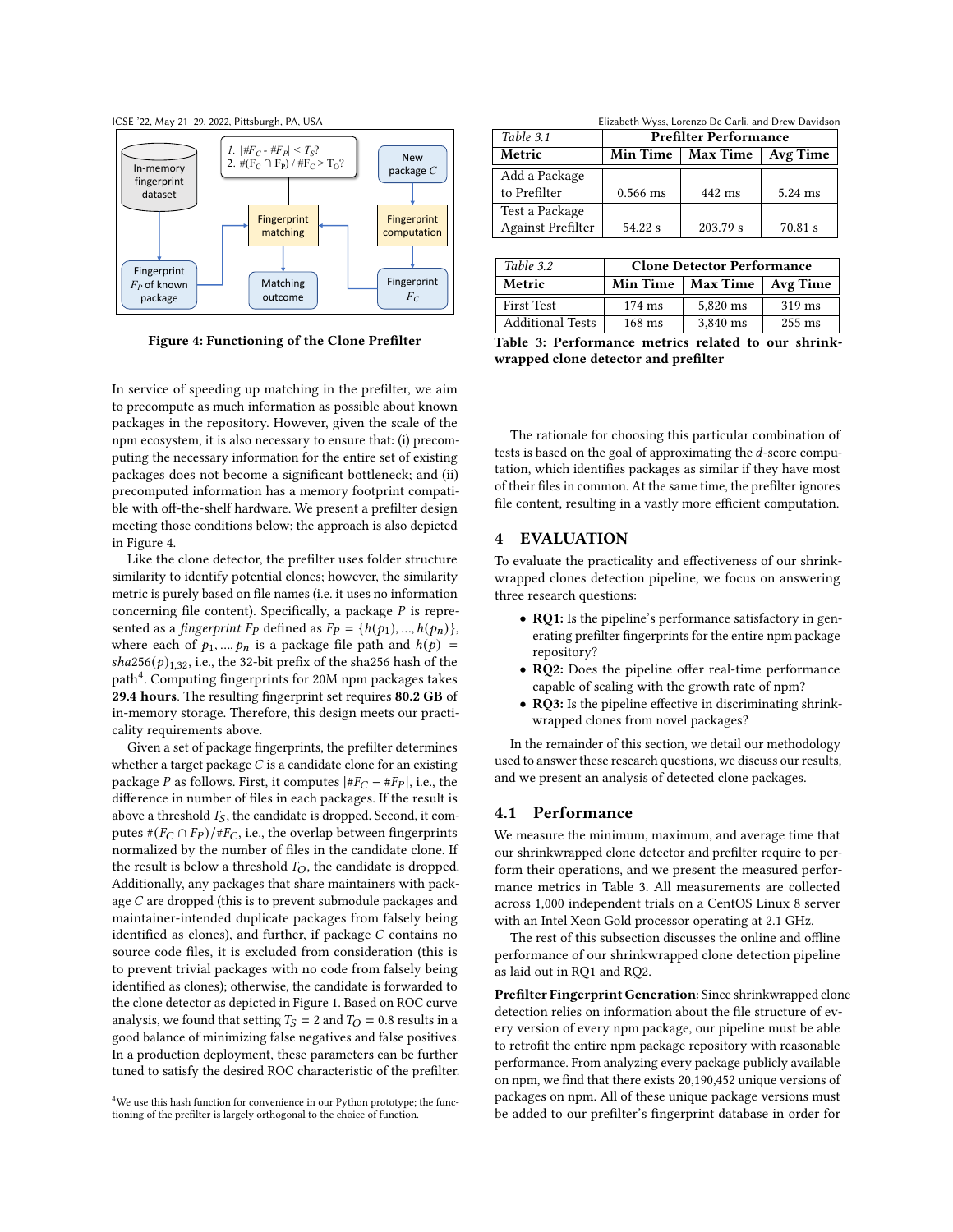



Figure 4: Functioning of the Clone Prefilter

In service of speeding up matching in the prefilter, we aim to precompute as much information as possible about known packages in the repository. However, given the scale of the npm ecosystem, it is also necessary to ensure that: (i) precomputing the necessary information for the entire set of existing packages does not become a significant bottleneck; and (ii) precomputed information has a memory footprint compatible with off-the-shelf hardware. We present a prefilter design meeting those conditions below; the approach is also depicted in Figure [4.](#page-5-1)

Like the clone detector, the prefilter uses folder structure similarity to identify potential clones; however, the similarity metric is purely based on file names (i.e. it uses no information concerning file content). Specifically, a package  $P$  is represented as a fingerprint  $F_P$  defined as  $F_P = \{h(p_1),...,h(p_n)\},\$ where each of  $p_1, ..., p_n$  is a package file path and  $h(p)$  =  $sha256(p)_{1,32}$ , i.e., the 32-bit prefix of the sha256 hash of the  $\mathop{\mathrm{path}}\nolimits^4$  $\mathop{\mathrm{path}}\nolimits^4$ . Computing fingerprints for 20M npm packages takes 29.4 hours. The resulting fingerprint set requires 80.2 GB of in-memory storage. Therefore, this design meets our practicality requirements above.

Given a set of package fingerprints, the prefilter determines whether a target package  $C$  is a candidate clone for an existing package P as follows. First, it computes  $|#F_C - *F_P|$ , i.e., the difference in number of files in each packages. If the result is above a threshold  $T<sub>S</sub>$ , the candidate is dropped. Second, it computes  $\# (F_C \cap F_P)/\# F_C$ , i.e., the overlap between fingerprints normalized by the number of files in the candidate clone. If the result is below a threshold  $T_O$ , the candidate is dropped. Additionally, any packages that share maintainers with package  $C$  are dropped (this is to prevent submodule packages and maintainer-intended duplicate packages from falsely being identified as clones), and further, if package  $C$  contains no source code files, it is excluded from consideration (this is to prevent trivial packages with no code from falsely being identified as clones); otherwise, the candidate is forwarded to the clone detector as depicted in Figure [1.](#page-3-1) Based on ROC curve analysis, we found that setting  $T_S = 2$  and  $T_O = 0.8$  results in a good balance of minimizing false negatives and false positives. In a production deployment, these parameters can be further tuned to satisfy the desired ROC characteristic of the prefilter.

<span id="page-5-1"></span>ICSE '22, May 21-29, 2022, Pittsburgh, PA, USA Elizabeth Wyss, Lorenzo De Carli, and Drew Davidson

<span id="page-5-3"></span>

| Table 3.1                | <b>Prefilter Performance</b> |          |          |
|--------------------------|------------------------------|----------|----------|
| Metric                   | <b>Max Time</b><br>Min Time  |          | Avg Time |
| Add a Package            |                              |          |          |
| to Prefilter             | $0.566$ ms                   | 442 ms   | 5.24 ms  |
| Test a Package           |                              |          |          |
| <b>Against Prefilter</b> | 54.22 s                      | 203.79 s | 70.81 s  |

| Table 3.2               | <b>Clone Detector Performance</b> |                                |                  |
|-------------------------|-----------------------------------|--------------------------------|------------------|
| Metric                  |                                   | Min Time   Max Time   Avg Time |                  |
| <b>First Test</b>       | $174 \text{ ms}$                  | 5,820 ms                       | $319$ ms         |
| <b>Additional Tests</b> | $168$ ms                          | 3,840 ms                       | $255 \text{ ms}$ |
|                         |                                   |                                |                  |

Table 3: Performance metrics related to our shrinkwrapped clone detector and prefilter

The rationale for choosing this particular combination of tests is based on the goal of approximating the  $d$ -score computation, which identifies packages as similar if they have most of their files in common. At the same time, the prefilter ignores file content, resulting in a vastly more efficient computation.

# <span id="page-5-0"></span>4 EVALUATION

To evaluate the practicality and effectiveness of our shrinkwrapped clones detection pipeline, we focus on answering three research questions:

- RQ1: Is the pipeline's performance satisfactory in generating prefilter fingerprints for the entire npm package repository?
- RQ2: Does the pipeline offer real-time performance capable of scaling with the growth rate of npm?
- RQ3: Is the pipeline effective in discriminating shrinkwrapped clones from novel packages?

In the remainder of this section, we detail our methodology used to answer these research questions, we discuss our results, and we present an analysis of detected clone packages.

### 4.1 Performance

We measure the minimum, maximum, and average time that our shrinkwrapped clone detector and prefilter require to perform their operations, and we present the measured performance metrics in Table [3.](#page-5-3) All measurements are collected across 1,000 independent trials on a CentOS Linux 8 server with an Intel Xeon Gold processor operating at 2.1 GHz.

The rest of this subsection discusses the online and offline performance of our shrinkwrapped clone detection pipeline as laid out in RQ1 and RQ2.

Prefilter Fingerprint Generation: Since shrinkwrapped clone detection relies on information about the file structure of every version of every npm package, our pipeline must be able to retrofit the entire npm package repository with reasonable performance. From analyzing every package publicly available on npm, we find that there exists 20,190,452 unique versions of packages on npm. All of these unique package versions must be added to our prefilter's fingerprint database in order for

<span id="page-5-2"></span><sup>&</sup>lt;sup>4</sup>We use this hash function for convenience in our Python prototype; the functioning of the prefilter is largely orthogonal to the choice of function.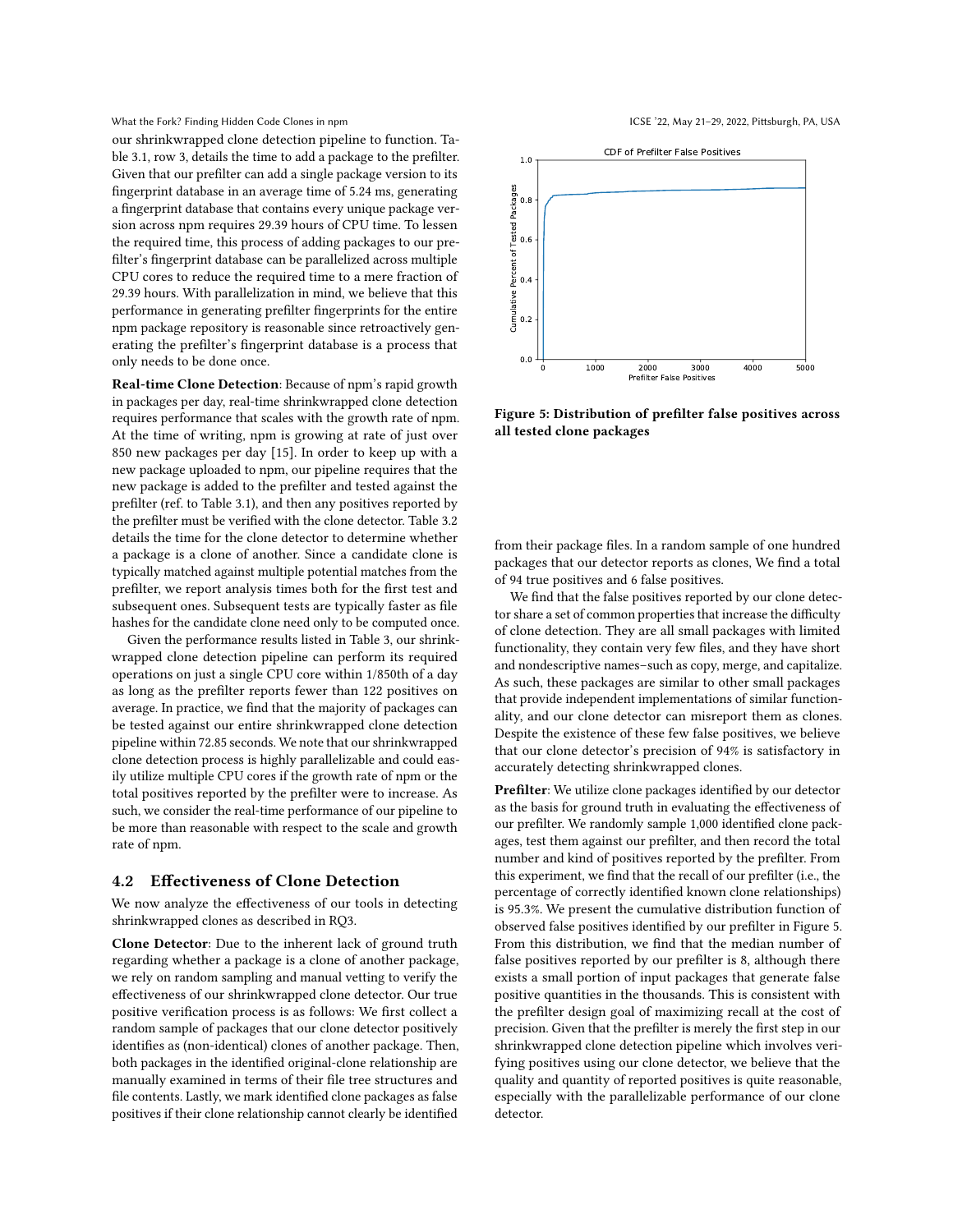What the Fork? Finding Hidden Code Clones in npm **ICSE '22, May 21-29, 2022, Pittsburgh, PA, USA** 

our shrinkwrapped clone detection pipeline to function. Table [3.](#page-5-3)1, row 3, details the time to add a package to the prefilter. Given that our prefilter can add a single package version to its fingerprint database in an average time of 5.24 ms, generating a fingerprint database that contains every unique package version across npm requires 29.39 hours of CPU time. To lessen the required time, this process of adding packages to our prefilter's fingerprint database can be parallelized across multiple CPU cores to reduce the required time to a mere fraction of 29.39 hours. With parallelization in mind, we believe that this performance in generating prefilter fingerprints for the entire npm package repository is reasonable since retroactively generating the prefilter's fingerprint database is a process that only needs to be done once.

Real-time Clone Detection: Because of npm's rapid growth in packages per day, real-time shrinkwrapped clone detection requires performance that scales with the growth rate of npm. At the time of writing, npm is growing at rate of just over 850 new packages per day [\[15\]](#page-10-6). In order to keep up with a new package uploaded to npm, our pipeline requires that the new package is added to the prefilter and tested against the prefilter (ref. to Table [3.](#page-5-3)1), and then any positives reported by the prefilter must be verified with the clone detector. Table [3.](#page-5-3)2 details the time for the clone detector to determine whether a package is a clone of another. Since a candidate clone is typically matched against multiple potential matches from the prefilter, we report analysis times both for the first test and subsequent ones. Subsequent tests are typically faster as file hashes for the candidate clone need only to be computed once.

Given the performance results listed in Table [3,](#page-5-3) our shrinkwrapped clone detection pipeline can perform its required operations on just a single CPU core within 1/850th of a day as long as the prefilter reports fewer than 122 positives on average. In practice, we find that the majority of packages can be tested against our entire shrinkwrapped clone detection pipeline within 72.85 seconds. We note that our shrinkwrapped clone detection process is highly parallelizable and could easily utilize multiple CPU cores if the growth rate of npm or the total positives reported by the prefilter were to increase. As such, we consider the real-time performance of our pipeline to be more than reasonable with respect to the scale and growth rate of npm.

# 4.2 Effectiveness of Clone Detection

We now analyze the effectiveness of our tools in detecting shrinkwrapped clones as described in RQ3.

Clone Detector: Due to the inherent lack of ground truth regarding whether a package is a clone of another package, we rely on random sampling and manual vetting to verify the effectiveness of our shrinkwrapped clone detector. Our true positive verification process is as follows: We first collect a random sample of packages that our clone detector positively identifies as (non-identical) clones of another package. Then, both packages in the identified original-clone relationship are manually examined in terms of their file tree structures and file contents. Lastly, we mark identified clone packages as false positives if their clone relationship cannot clearly be identified

<span id="page-6-0"></span>

Figure 5: Distribution of prefilter false positives across all tested clone packages

from their package files. In a random sample of one hundred packages that our detector reports as clones, We find a total of 94 true positives and 6 false positives.

We find that the false positives reported by our clone detector share a set of common properties that increase the difficulty of clone detection. They are all small packages with limited functionality, they contain very few files, and they have short and nondescriptive names–such as copy, merge, and capitalize. As such, these packages are similar to other small packages that provide independent implementations of similar functionality, and our clone detector can misreport them as clones. Despite the existence of these few false positives, we believe that our clone detector's precision of 94% is satisfactory in accurately detecting shrinkwrapped clones.

Prefilter: We utilize clone packages identified by our detector as the basis for ground truth in evaluating the effectiveness of our prefilter. We randomly sample 1,000 identified clone packages, test them against our prefilter, and then record the total number and kind of positives reported by the prefilter. From this experiment, we find that the recall of our prefilter (i.e., the percentage of correctly identified known clone relationships) is 95.3%. We present the cumulative distribution function of observed false positives identified by our prefilter in Figure [5.](#page-6-0) From this distribution, we find that the median number of false positives reported by our prefilter is 8, although there exists a small portion of input packages that generate false positive quantities in the thousands. This is consistent with the prefilter design goal of maximizing recall at the cost of precision. Given that the prefilter is merely the first step in our shrinkwrapped clone detection pipeline which involves verifying positives using our clone detector, we believe that the quality and quantity of reported positives is quite reasonable, especially with the parallelizable performance of our clone detector.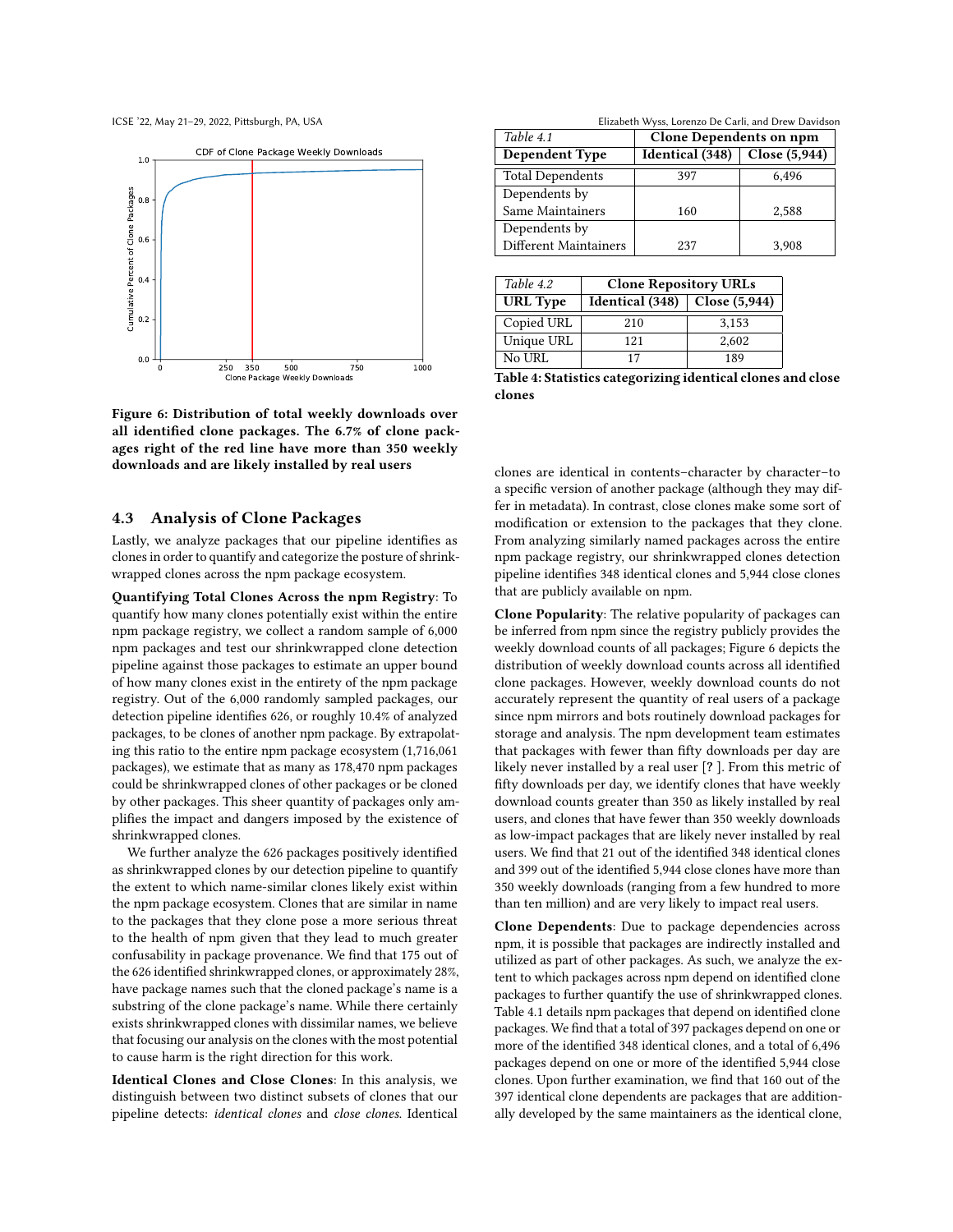<span id="page-7-1"></span>



Figure 6: Distribution of total weekly downloads over all identified clone packages. The 6.7% of clone packages right of the red line have more than 350 weekly downloads and are likely installed by real users

## 4.3 Analysis of Clone Packages

Lastly, we analyze packages that our pipeline identifies as clones in order to quantify and categorize the posture of shrinkwrapped clones across the npm package ecosystem.

Quantifying Total Clones Across the npm Registry: To quantify how many clones potentially exist within the entire npm package registry, we collect a random sample of 6,000 npm packages and test our shrinkwrapped clone detection pipeline against those packages to estimate an upper bound of how many clones exist in the entirety of the npm package registry. Out of the 6,000 randomly sampled packages, our detection pipeline identifies 626, or roughly 10.4% of analyzed packages, to be clones of another npm package. By extrapolating this ratio to the entire npm package ecosystem (1,716,061 packages), we estimate that as many as 178,470 npm packages could be shrinkwrapped clones of other packages or be cloned by other packages. This sheer quantity of packages only amplifies the impact and dangers imposed by the existence of shrinkwrapped clones.

We further analyze the 626 packages positively identified as shrinkwrapped clones by our detection pipeline to quantify the extent to which name-similar clones likely exist within the npm package ecosystem. Clones that are similar in name to the packages that they clone pose a more serious threat to the health of npm given that they lead to much greater confusability in package provenance. We find that 175 out of the 626 identified shrinkwrapped clones, or approximately 28%, have package names such that the cloned package's name is a substring of the clone package's name. While there certainly exists shrinkwrapped clones with dissimilar names, we believe that focusing our analysis on the clones with the most potential to cause harm is the right direction for this work.

Identical Clones and Close Clones: In this analysis, we distinguish between two distinct subsets of clones that our pipeline detects: identical clones and close clones. Identical

ICSE '22, May 21-29, 2022, Pittsburgh, PA, USA Elizabeth Wyss, Lorenzo De Carli, and Drew Davidson

<span id="page-7-0"></span>

| Table 4.1               | <b>Clone Dependents on npm</b> |               |  |
|-------------------------|--------------------------------|---------------|--|
| <b>Dependent Type</b>   | Identical (348)                | Close (5,944) |  |
| <b>Total Dependents</b> | 397                            | 6.496         |  |
| Dependents by           |                                |               |  |
| Same Maintainers        | 160                            | 2,588         |  |
| Dependents by           |                                |               |  |
| Different Maintainers   | 237                            | 3.908         |  |

| Table 4.2       | <b>Clone Repository URLs</b>      |       |  |
|-----------------|-----------------------------------|-------|--|
| <b>URL</b> Type | Identical $(348)$ Close $(5,944)$ |       |  |
| Copied URL      | 210                               | 3,153 |  |
| Unique URL      | 121                               | 2,602 |  |
| No URL          | 17                                | 189   |  |

Table 4: Statistics categorizing identical clones and close clones

clones are identical in contents–character by character–to a specific version of another package (although they may differ in metadata). In contrast, close clones make some sort of modification or extension to the packages that they clone. From analyzing similarly named packages across the entire npm package registry, our shrinkwrapped clones detection pipeline identifies 348 identical clones and 5,944 close clones that are publicly available on npm.

Clone Popularity: The relative popularity of packages can be inferred from npm since the registry publicly provides the weekly download counts of all packages; Figure [6](#page-7-1) depicts the distribution of weekly download counts across all identified clone packages. However, weekly download counts do not accurately represent the quantity of real users of a package since npm mirrors and bots routinely download packages for storage and analysis. The npm development team estimates that packages with fewer than fifty downloads per day are likely never installed by a real user [? ]. From this metric of fifty downloads per day, we identify clones that have weekly download counts greater than 350 as likely installed by real users, and clones that have fewer than 350 weekly downloads as low-impact packages that are likely never installed by real users. We find that 21 out of the identified 348 identical clones and 399 out of the identified 5,944 close clones have more than 350 weekly downloads (ranging from a few hundred to more than ten million) and are very likely to impact real users.

Clone Dependents: Due to package dependencies across npm, it is possible that packages are indirectly installed and utilized as part of other packages. As such, we analyze the extent to which packages across npm depend on identified clone packages to further quantify the use of shrinkwrapped clones. Table [4.](#page-7-0)1 details npm packages that depend on identified clone packages. We find that a total of 397 packages depend on one or more of the identified 348 identical clones, and a total of 6,496 packages depend on one or more of the identified 5,944 close clones. Upon further examination, we find that 160 out of the 397 identical clone dependents are packages that are additionally developed by the same maintainers as the identical clone,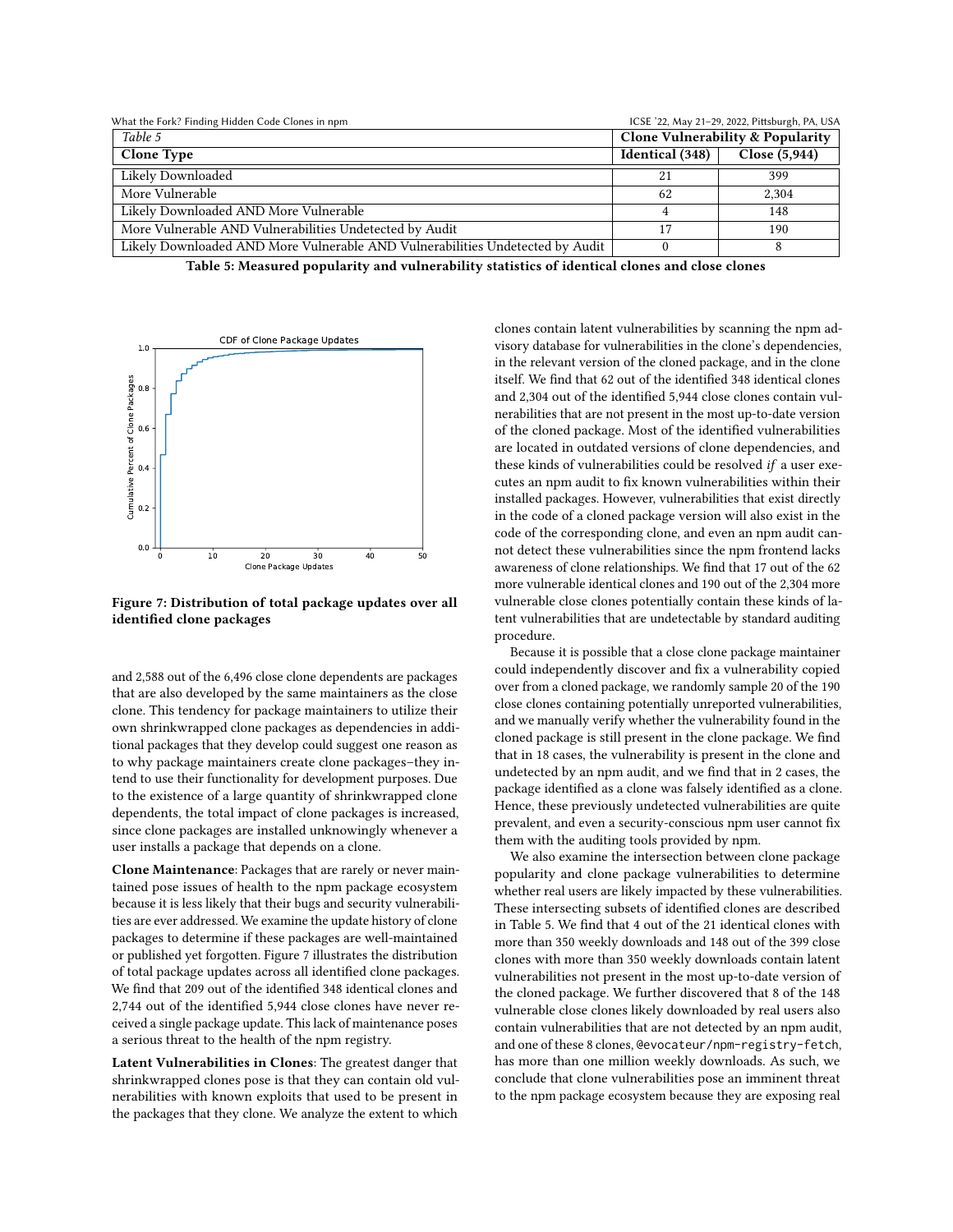<span id="page-8-0"></span>

| What the Fork? Finding Hidden Code Clones in npm                              |                                             | ICSE '22, May 21-29, 2022, Pittsburgh, PA, USA |
|-------------------------------------------------------------------------------|---------------------------------------------|------------------------------------------------|
| Table 5                                                                       | <b>Clone Vulnerability &amp; Popularity</b> |                                                |
| <b>Clone Type</b>                                                             | Identical (348)                             | Close (5,944)                                  |
| Likely Downloaded                                                             | 21                                          | 399                                            |
| More Vulnerable                                                               | 62                                          | 2.304                                          |
| Likely Downloaded AND More Vulnerable                                         | 4                                           | 148                                            |
| More Vulnerable AND Vulnerabilities Undetected by Audit                       | 17                                          | 190                                            |
| Likely Downloaded AND More Vulnerable AND Vulnerabilities Undetected by Audit |                                             | 8                                              |

Table 5: Measured popularity and vulnerability statistics of identical clones and close clones

<span id="page-8-1"></span>

Figure 7: Distribution of total package updates over all identified clone packages

and 2,588 out of the 6,496 close clone dependents are packages that are also developed by the same maintainers as the close clone. This tendency for package maintainers to utilize their own shrinkwrapped clone packages as dependencies in additional packages that they develop could suggest one reason as to why package maintainers create clone packages–they intend to use their functionality for development purposes. Due to the existence of a large quantity of shrinkwrapped clone dependents, the total impact of clone packages is increased, since clone packages are installed unknowingly whenever a user installs a package that depends on a clone.

Clone Maintenance: Packages that are rarely or never maintained pose issues of health to the npm package ecosystem because it is less likely that their bugs and security vulnerabilities are ever addressed. We examine the update history of clone packages to determine if these packages are well-maintained or published yet forgotten. Figure [7](#page-8-1) illustrates the distribution of total package updates across all identified clone packages. We find that 209 out of the identified 348 identical clones and 2,744 out of the identified 5,944 close clones have never received a single package update. This lack of maintenance poses a serious threat to the health of the npm registry.

Latent Vulnerabilities in Clones: The greatest danger that shrinkwrapped clones pose is that they can contain old vulnerabilities with known exploits that used to be present in the packages that they clone. We analyze the extent to which

clones contain latent vulnerabilities by scanning the npm advisory database for vulnerabilities in the clone's dependencies, in the relevant version of the cloned package, and in the clone itself. We find that 62 out of the identified 348 identical clones and 2,304 out of the identified 5,944 close clones contain vulnerabilities that are not present in the most up-to-date version of the cloned package. Most of the identified vulnerabilities are located in outdated versions of clone dependencies, and these kinds of vulnerabilities could be resolved if a user executes an npm audit to fix known vulnerabilities within their installed packages. However, vulnerabilities that exist directly in the code of a cloned package version will also exist in the code of the corresponding clone, and even an npm audit cannot detect these vulnerabilities since the npm frontend lacks awareness of clone relationships. We find that 17 out of the 62 more vulnerable identical clones and 190 out of the 2,304 more vulnerable close clones potentially contain these kinds of latent vulnerabilities that are undetectable by standard auditing procedure.

Because it is possible that a close clone package maintainer could independently discover and fix a vulnerability copied over from a cloned package, we randomly sample 20 of the 190 close clones containing potentially unreported vulnerabilities, and we manually verify whether the vulnerability found in the cloned package is still present in the clone package. We find that in 18 cases, the vulnerability is present in the clone and undetected by an npm audit, and we find that in 2 cases, the package identified as a clone was falsely identified as a clone. Hence, these previously undetected vulnerabilities are quite prevalent, and even a security-conscious npm user cannot fix them with the auditing tools provided by npm.

We also examine the intersection between clone package popularity and clone package vulnerabilities to determine whether real users are likely impacted by these vulnerabilities. These intersecting subsets of identified clones are described in Table [5.](#page-8-0) We find that 4 out of the 21 identical clones with more than 350 weekly downloads and 148 out of the 399 close clones with more than 350 weekly downloads contain latent vulnerabilities not present in the most up-to-date version of the cloned package. We further discovered that 8 of the 148 vulnerable close clones likely downloaded by real users also contain vulnerabilities that are not detected by an npm audit, and one of these 8 clones, @evocateur/npm-registry-fetch, has more than one million weekly downloads. As such, we conclude that clone vulnerabilities pose an imminent threat to the npm package ecosystem because they are exposing real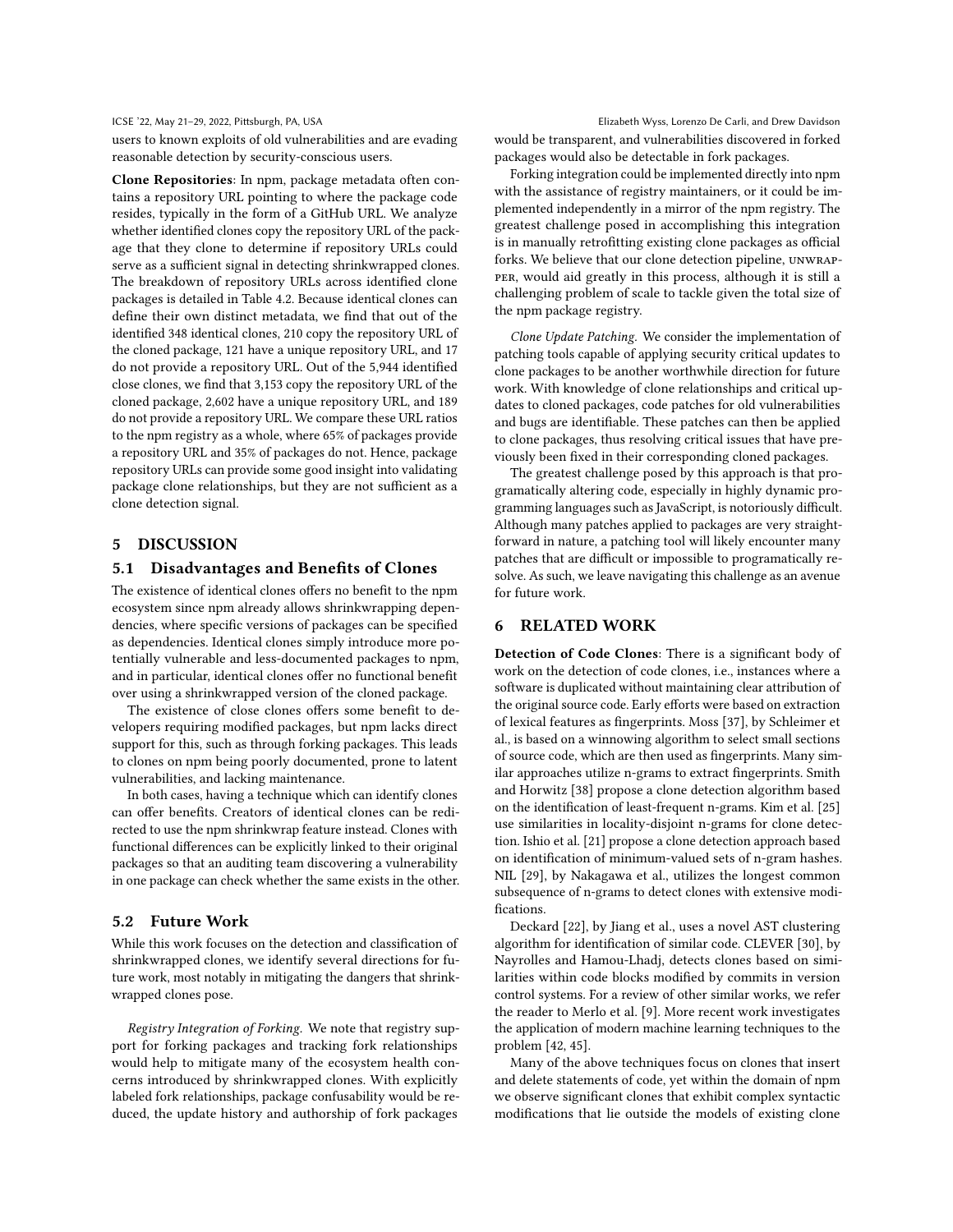#### ICSE '22, May 21-29, 2022, Pittsburgh, PA, USA Elizabeth Wyss, Lorenzo De Carli, and Drew Davidson

users to known exploits of old vulnerabilities and are evading reasonable detection by security-conscious users.

Clone Repositories: In npm, package metadata often contains a repository URL pointing to where the package code resides, typically in the form of a GitHub URL. We analyze whether identified clones copy the repository URL of the package that they clone to determine if repository URLs could serve as a sufficient signal in detecting shrinkwrapped clones. The breakdown of repository URLs across identified clone packages is detailed in Table [4.](#page-7-0)2. Because identical clones can define their own distinct metadata, we find that out of the identified 348 identical clones, 210 copy the repository URL of the cloned package, 121 have a unique repository URL, and 17 do not provide a repository URL. Out of the 5,944 identified close clones, we find that 3,153 copy the repository URL of the cloned package, 2,602 have a unique repository URL, and 189 do not provide a repository URL. We compare these URL ratios to the npm registry as a whole, where 65% of packages provide a repository URL and 35% of packages do not. Hence, package repository URLs can provide some good insight into validating package clone relationships, but they are not sufficient as a clone detection signal.

# <span id="page-9-0"></span>5 DISCUSSION

### 5.1 Disadvantages and Benefits of Clones

The existence of identical clones offers no benefit to the npm ecosystem since npm already allows shrinkwrapping dependencies, where specific versions of packages can be specified as dependencies. Identical clones simply introduce more potentially vulnerable and less-documented packages to npm, and in particular, identical clones offer no functional benefit over using a shrinkwrapped version of the cloned package.

The existence of close clones offers some benefit to developers requiring modified packages, but npm lacks direct support for this, such as through forking packages. This leads to clones on npm being poorly documented, prone to latent vulnerabilities, and lacking maintenance.

In both cases, having a technique which can identify clones can offer benefits. Creators of identical clones can be redirected to use the npm shrinkwrap feature instead. Clones with functional differences can be explicitly linked to their original packages so that an auditing team discovering a vulnerability in one package can check whether the same exists in the other.

# 5.2 Future Work

While this work focuses on the detection and classification of shrinkwrapped clones, we identify several directions for future work, most notably in mitigating the dangers that shrinkwrapped clones pose.

Registry Integration of Forking. We note that registry support for forking packages and tracking fork relationships would help to mitigate many of the ecosystem health concerns introduced by shrinkwrapped clones. With explicitly labeled fork relationships, package confusability would be reduced, the update history and authorship of fork packages

would be transparent, and vulnerabilities discovered in forked packages would also be detectable in fork packages.

Forking integration could be implemented directly into npm with the assistance of registry maintainers, or it could be implemented independently in a mirror of the npm registry. The greatest challenge posed in accomplishing this integration is in manually retrofitting existing clone packages as official forks. We believe that our clone detection pipeline, unwrapper, would aid greatly in this process, although it is still a challenging problem of scale to tackle given the total size of the npm package registry.

Clone Update Patching. We consider the implementation of patching tools capable of applying security critical updates to clone packages to be another worthwhile direction for future work. With knowledge of clone relationships and critical updates to cloned packages, code patches for old vulnerabilities and bugs are identifiable. These patches can then be applied to clone packages, thus resolving critical issues that have previously been fixed in their corresponding cloned packages.

The greatest challenge posed by this approach is that programatically altering code, especially in highly dynamic programming languages such as JavaScript, is notoriously difficult. Although many patches applied to packages are very straightforward in nature, a patching tool will likely encounter many patches that are difficult or impossible to programatically resolve. As such, we leave navigating this challenge as an avenue for future work.

# <span id="page-9-1"></span>6 RELATED WORK

Detection of Code Clones: There is a significant body of work on the detection of code clones, i.e., instances where a software is duplicated without maintaining clear attribution of the original source code. Early efforts were based on extraction of lexical features as fingerprints. Moss [\[37\]](#page-11-12), by Schleimer et al., is based on a winnowing algorithm to select small sections of source code, which are then used as fingerprints. Many similar approaches utilize n-grams to extract fingerprints. Smith and Horwitz [\[38\]](#page-11-8) propose a clone detection algorithm based on the identification of least-frequent n-grams. Kim et al. [\[25\]](#page-11-5) use similarities in locality-disjoint n-grams for clone detection. Ishio et al. [\[21\]](#page-11-3) propose a clone detection approach based on identification of minimum-valued sets of n-gram hashes. NIL [\[29\]](#page-11-6), by Nakagawa et al., utilizes the longest common subsequence of n-grams to detect clones with extensive modifications.

Deckard [\[22\]](#page-11-4), by Jiang et al., uses a novel AST clustering algorithm for identification of similar code. CLEVER [\[30\]](#page-11-7), by Nayrolles and Hamou-Lhadj, detects clones based on similarities within code blocks modified by commits in version control systems. For a review of other similar works, we refer the reader to Merlo et al. [\[9\]](#page-10-7). More recent work investigates the application of modern machine learning techniques to the problem [\[42,](#page-11-13) [45\]](#page-11-14).

Many of the above techniques focus on clones that insert and delete statements of code, yet within the domain of npm we observe significant clones that exhibit complex syntactic modifications that lie outside the models of existing clone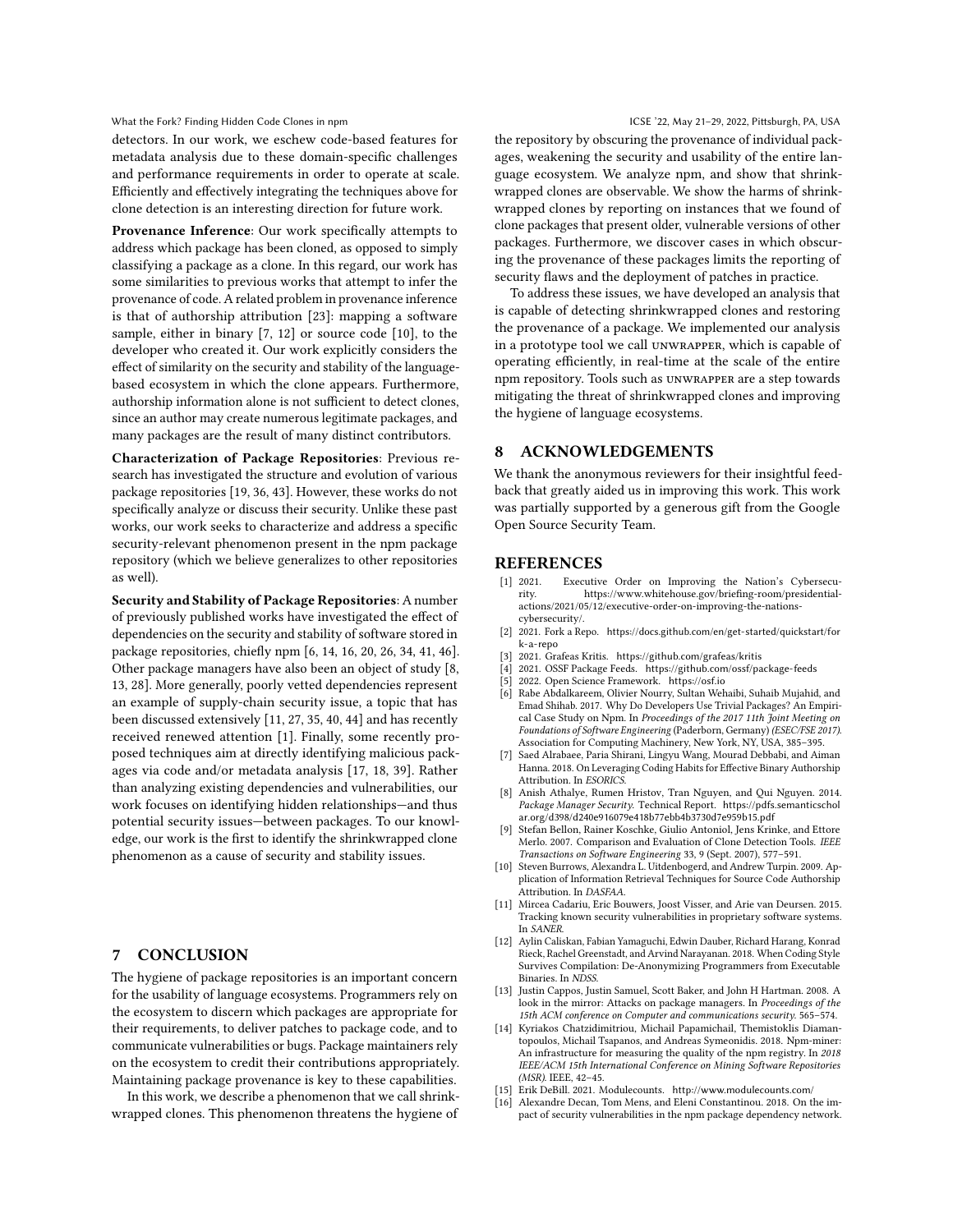What the Fork? Finding Hidden Code Clones in npm **ICSE 122, May 21-29, 2022, Pittsburgh, PA, USA** 

detectors. In our work, we eschew code-based features for metadata analysis due to these domain-specific challenges and performance requirements in order to operate at scale. Efficiently and effectively integrating the techniques above for clone detection is an interesting direction for future work.

Provenance Inference: Our work specifically attempts to address which package has been cloned, as opposed to simply classifying a package as a clone. In this regard, our work has some similarities to previous works that attempt to infer the provenance of code. A related problem in provenance inference is that of authorship attribution [\[23\]](#page-11-15): mapping a software sample, either in binary [\[7,](#page-10-8) [12\]](#page-10-9) or source code [\[10\]](#page-10-10), to the developer who created it. Our work explicitly considers the effect of similarity on the security and stability of the languagebased ecosystem in which the clone appears. Furthermore, authorship information alone is not sufficient to detect clones, since an author may create numerous legitimate packages, and many packages are the result of many distinct contributors.

Characterization of Package Repositories: Previous research has investigated the structure and evolution of various package repositories [\[19,](#page-11-16) [36,](#page-11-17) [43\]](#page-11-18). However, these works do not specifically analyze or discuss their security. Unlike these past works, our work seeks to characterize and address a specific security-relevant phenomenon present in the npm package repository (which we believe generalizes to other repositories as well).

Security and Stability of Package Repositories: A number of previously published works have investigated the effect of dependencies on the security and stability of software stored in package repositories, chiefly npm [\[6,](#page-10-0) [14,](#page-10-11) [16,](#page-10-12) [20,](#page-11-19) [26,](#page-11-20) [34,](#page-11-21) [41,](#page-11-9) [46\]](#page-11-22). Other package managers have also been an object of study [\[8,](#page-10-13) [13,](#page-10-14) [28\]](#page-11-23). More generally, poorly vetted dependencies represent an example of supply-chain security issue, a topic that has been discussed extensively [\[11,](#page-10-15) [27,](#page-11-24) [35,](#page-11-25) [40,](#page-11-26) [44\]](#page-11-27) and has recently received renewed attention [\[1\]](#page-10-16). Finally, some recently proposed techniques aim at directly identifying malicious packages via code and/or metadata analysis [\[17,](#page-11-2) [18,](#page-11-28) [39\]](#page-11-1). Rather than analyzing existing dependencies and vulnerabilities, our work focuses on identifying hidden relationships—and thus potential security issues—between packages. To our knowledge, our work is the first to identify the shrinkwrapped clone phenomenon as a cause of security and stability issues.

#### <span id="page-10-3"></span>7 CONCLUSION

The hygiene of package repositories is an important concern for the usability of language ecosystems. Programmers rely on the ecosystem to discern which packages are appropriate for their requirements, to deliver patches to package code, and to communicate vulnerabilities or bugs. Package maintainers rely on the ecosystem to credit their contributions appropriately. Maintaining package provenance is key to these capabilities.

In this work, we describe a phenomenon that we call shrinkwrapped clones. This phenomenon threatens the hygiene of the repository by obscuring the provenance of individual packages, weakening the security and usability of the entire language ecosystem. We analyze npm, and show that shrinkwrapped clones are observable. We show the harms of shrinkwrapped clones by reporting on instances that we found of clone packages that present older, vulnerable versions of other packages. Furthermore, we discover cases in which obscuring the provenance of these packages limits the reporting of security flaws and the deployment of patches in practice.

To address these issues, we have developed an analysis that is capable of detecting shrinkwrapped clones and restoring the provenance of a package. We implemented our analysis in a prototype tool we call unwrapper, which is capable of operating efficiently, in real-time at the scale of the entire npm repository. Tools such as unwrapper are a step towards mitigating the threat of shrinkwrapped clones and improving the hygiene of language ecosystems.

# 8 ACKNOWLEDGEMENTS

We thank the anonymous reviewers for their insightful feedback that greatly aided us in improving this work. This work was partially supported by a generous gift from the Google Open Source Security Team.

# **REFERENCES**

- <span id="page-10-16"></span>[1] 2021. Executive Order on Improving the Nation's Cybersecurity. https://www.whitehouse.gov/briefing-room/presidentialactions/2021/05/12/executive-order-on-improving-the-nationscybersecurity/.
- <span id="page-10-1"></span>[2] 2021. Fork a Repo. [https://docs.github.com/en/get-started/quickstart/for](https://docs.github.com/en/get-started/quickstart/fork-a-repo) [k-a-repo](https://docs.github.com/en/get-started/quickstart/fork-a-repo)
- <span id="page-10-5"></span>[3] 2021. Grafeas Kritis. <https://github.com/grafeas/kritis>
- <span id="page-10-4"></span>2021. OSSF Package Feeds. <https://github.com/ossf/package-feeds>
- <span id="page-10-2"></span>[5] 2022. Open Science Framework. <https://osf.io>
- <span id="page-10-0"></span>Rabe Abdalkareem, Olivier Nourry, Sultan Wehaibi, Suhaib Mujahid, and Emad Shihab. 2017. Why Do Developers Use Trivial Packages? An Empirical Case Study on Npm. In Proceedings of the 2017 11th Joint Meeting on Foundations of Software Engineering (Paderborn, Germany) (ESEC/FSE 2017). Association for Computing Machinery, New York, NY, USA, 385–395.
- <span id="page-10-8"></span>[7] Saed Alrabaee, Paria Shirani, Lingyu Wang, Mourad Debbabi, and Aiman Hanna. 2018. On Leveraging Coding Habits for Effective Binary Authorship Attribution. In ESORICS.
- <span id="page-10-13"></span>[8] Anish Athalye, Rumen Hristov, Tran Nguyen, and Qui Nguyen. 2014. Package Manager Security. Technical Report. [https://pdfs.semanticschol](https://pdfs.semanticscholar.org/d398/d240e916079e418b77ebb4b3730d7e959b15.pdf) [ar.org/d398/d240e916079e418b77ebb4b3730d7e959b15.pdf](https://pdfs.semanticscholar.org/d398/d240e916079e418b77ebb4b3730d7e959b15.pdf)
- <span id="page-10-7"></span>Stefan Bellon, Rainer Koschke, Giulio Antoniol, Jens Krinke, and Ettore Merlo. 2007. Comparison and Evaluation of Clone Detection Tools. IEEE Transactions on Software Engineering 33, 9 (Sept. 2007), 577–591. [10] Steven Burrows, Alexandra L. Uitdenbogerd, and Andrew Turpin. 2009. Ap-
- <span id="page-10-10"></span>plication of Information Retrieval Techniques for Source Code Authorship Attribution. In DASFAA.
- <span id="page-10-15"></span>[11] Mircea Cadariu, Eric Bouwers, Joost Visser, and Arie van Deursen. 2015. Tracking known security vulnerabilities in proprietary software systems. In SANER.
- <span id="page-10-9"></span>[12] Aylin Caliskan, Fabian Yamaguchi, Edwin Dauber, Richard Harang, Konrad Rieck, Rachel Greenstadt, and Arvind Narayanan. 2018. When Coding Style Survives Compilation: De-Anonymizing Programmers from Executable Binaries. In NDSS.
- <span id="page-10-14"></span>[13] Justin Cappos, Justin Samuel, Scott Baker, and John H Hartman. 2008. A look in the mirror: Attacks on package managers. In Proceedings of the 15th ACM conference on Computer and communications security. 565–574.
- <span id="page-10-11"></span>[14] Kyriakos Chatzidimitriou, Michail Papamichail, Themistoklis Diamantopoulos, Michail Tsapanos, and Andreas Symeonidis. 2018. Npm-miner: An infrastructure for measuring the quality of the npm registry. In 2018 IEEE/ACM 15th International Conference on Mining Software Repositories (MSR). IEEE, 42–45.
- <span id="page-10-6"></span>[15] Erik DeBill. 2021. Modulecounts. <http://www.modulecounts.com/>
- <span id="page-10-12"></span>[16] Alexandre Decan, Tom Mens, and Eleni Constantinou. 2018. On the impact of security vulnerabilities in the npm package dependency network.